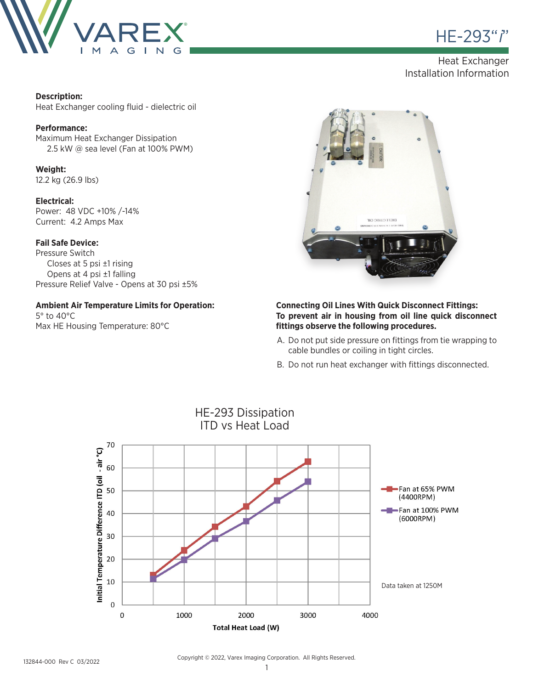



# Heat Exchanger Installation Information

### **Description:**

Heat Exchanger cooling fluid - dielectric oil

#### **Performance:**

Maximum Heat Exchanger Dissipation 2.5 kW @ sea level (Fan at 100% PWM)

### **Weight:**

12.2 kg (26.9 lbs)

#### **Electrical:**

Power: 48 VDC +10% /-14% Current: 4.2 Amps Max

#### **Fail Safe Device:**

Pressure Switch Closes at 5 psi ±1 rising Opens at 4 psi ±1 falling Pressure Relief Valve - Opens at 30 psi ±5%

## **Ambient Air Temperature Limits for Operation:**

5° to 40°C Max HE Housing Temperature: 80°C



#### **Connecting Oil Lines With Quick Disconnect Fittings: To prevent air in housing from oil line quick disconnect fittings observe the following procedures.**

- A. Do not put side pressure on fittings from tie wrapping to cable bundles or coiling in tight circles.
- B. Do not run heat exchanger with fittings disconnected.



Copyright © 2022, Varex Imaging Corporation. All Rights Reserved.